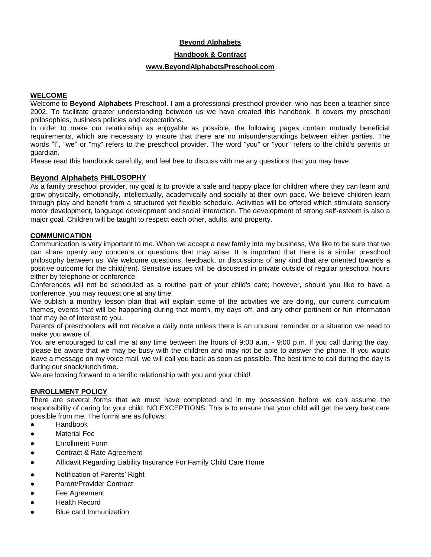# **Beyond Alphabets**

**Handbook & Contract**

#### **www.BeyondAlphabetsPreschool.com**

## **WELCOME**

Welcome to **Beyond Alphabets** Preschoo**l**. I am a professional preschool provider, who has been a teacher since 2002. To facilitate greater understanding between us we have created this handbook. It covers my preschool philosophies, business policies and expectations.

In order to make our relationship as enjoyable as possible, the following pages contain mutually beneficial requirements, which are necessary to ensure that there are no misunderstandings between either parties. The words "I", "we" or "my" refers to the preschool provider. The word "you" or "your" refers to the child's parents or guardian.

Please read this handbook carefully, and feel free to discuss with me any questions that you may have.

# **Beyond Alphabets PHILOSOPHY**

As a family preschool provider, my goal is to provide a safe and happy place for children where they can learn and grow physically, emotionally, intellectually, academically and socially at their own pace. We believe children learn through play and benefit from a structured yet flexible schedule. Activities will be offered which stimulate sensory motor development, language development and social interaction. The development of strong self-esteem is also a major goal. Children will be taught to respect each other, adults, and property.

# **COMMUNICATION**

Communication is very important to me. When we accept a new family into my business, We like to be sure that we can share openly any concerns or questions that may arise. It is important that there is a similar preschool philosophy between us. We welcome questions, feedback, or discussions of any kind that are oriented towards a positive outcome for the child(ren). Sensitive issues will be discussed in private outside of regular preschool hours either by telephone or conference.

Conferences will not be scheduled as a routine part of your child's care; however, should you like to have a conference, you may request one at any time.

We publish a monthly lesson plan that will explain some of the activities we are doing, our current curriculum themes, events that will be happening during that month, my days off, and any other pertinent or fun information that may be of interest to you.

Parents of preschoolers will not receive a daily note unless there is an unusual reminder or a situation we need to make you aware of.

You are encouraged to call me at any time between the hours of 9:00 a.m. - 9:00 p.m. If you call during the day, please be aware that we may be busy with the children and may not be able to answer the phone. If you would leave a message on my voice mail, we will call you back as soon as possible. The best time to call during the day is during our snack/lunch time.

We are looking forward to a terrific relationship with you and your child!

## **ENROLLMENT POLICY**

There are several forms that we must have completed and in my possession before we can assume the responsibility of caring for your child. NO EXCEPTIONS. This is to ensure that your child will get the very best care possible from me. The forms are as follows:

- Handbook
- Material Fee
- Enrollment Form
- Contract & Rate Agreement
- Affidavit Regarding Liability Insurance For Family Child Care Home
- Notification of Parents' Right
- Parent/Provider Contract
- Fee Agreement
- Health Record
- **Blue card Immunization**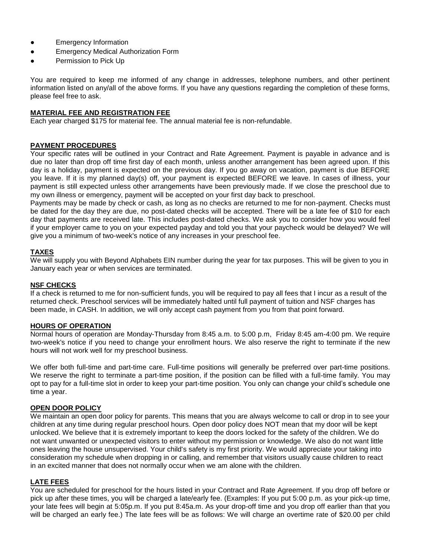- Emergency Information
- Emergency Medical Authorization Form
- Permission to Pick Up

You are required to keep me informed of any change in addresses, telephone numbers, and other pertinent information listed on any/all of the above forms. If you have any questions regarding the completion of these forms, please feel free to ask.

## **MATERIAL FEE AND REGISTRATION FEE**

Each year charged \$175 for material fee. The annual material fee is non-refundable.

## **PAYMENT PROCEDURES**

Your specific rates will be outlined in your Contract and Rate Agreement. Payment is payable in advance and is due no later than drop off time first day of each month, unless another arrangement has been agreed upon. If this day is a holiday, payment is expected on the previous day. If you go away on vacation, payment is due BEFORE you leave. If it is my planned day(s) off, your payment is expected BEFORE we leave. In cases of illness, your payment is still expected unless other arrangements have been previously made. If we close the preschool due to my own illness or emergency, payment will be accepted on your first day back to preschool.

Payments may be made by check or cash, as long as no checks are returned to me for non-payment. Checks must be dated for the day they are due, no post-dated checks will be accepted. There will be a late fee of \$10 for each day that payments are received late. This includes post-dated checks. We ask you to consider how you would feel if your employer came to you on your expected payday and told you that your paycheck would be delayed? We will give you a minimum of two-week's notice of any increases in your preschool fee.

## **TAXES**

We will supply you with Beyond Alphabets EIN number during the year for tax purposes. This will be given to you in January each year or when services are terminated.

## **NSF CHECKS**

If a check is returned to me for non-sufficient funds, you will be required to pay all fees that I incur as a result of the returned check. Preschool services will be immediately halted until full payment of tuition and NSF charges has been made, in CASH. In addition, we will only accept cash payment from you from that point forward.

# **HOURS OF OPERATION**

Normal hours of operation are Monday-Thursday from 8:45 a.m. to 5:00 p.m, Friday 8:45 am-4:00 pm. We require two-week's notice if you need to change your enrollment hours. We also reserve the right to terminate if the new hours will not work well for my preschool business.

We offer both full-time and part-time care. Full-time positions will generally be preferred over part-time positions. We reserve the right to terminate a part-time position, if the position can be filled with a full-time family. You may opt to pay for a full-time slot in order to keep your part-time position. You only can change your child's schedule one time a year.

## **OPEN DOOR POLICY**

We maintain an open door policy for parents. This means that you are always welcome to call or drop in to see your children at any time during regular preschool hours. Open door policy does NOT mean that my door will be kept unlocked. We believe that it is extremely important to keep the doors locked for the safety of the children. We do not want unwanted or unexpected visitors to enter without my permission or knowledge. We also do not want little ones leaving the house unsupervised. Your child's safety is my first priority. We would appreciate your taking into consideration my schedule when dropping in or calling, and remember that visitors usually cause children to react in an excited manner that does not normally occur when we am alone with the children.

## **LATE FEES**

You are scheduled for preschool for the hours listed in your Contract and Rate Agreement. If you drop off before or pick up after these times, you will be charged a late/early fee. (Examples: If you put 5:00 p.m. as your pick-up time, your late fees will begin at 5:05p.m. If you put 8:45a.m. As your drop-off time and you drop off earlier than that you will be charged an early fee.) The late fees will be as follows: We will charge an overtime rate of \$20.00 per child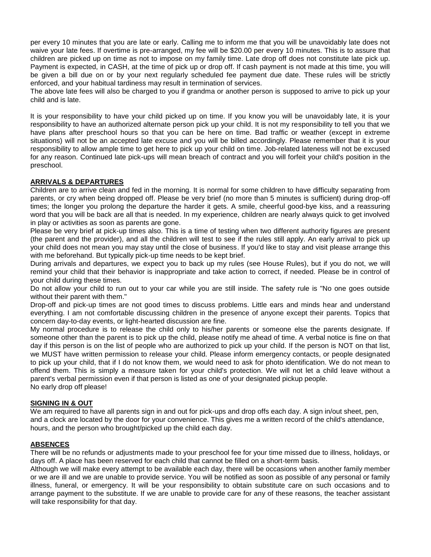per every 10 minutes that you are late or early. Calling me to inform me that you will be unavoidably late does not waive your late fees. If overtime is pre-arranged, my fee will be \$20.00 per every 10 minutes. This is to assure that children are picked up on time as not to impose on my family time. Late drop off does not constitute late pick up. Payment is expected, in CASH, at the time of pick up or drop off. If cash payment is not made at this time, you will be given a bill due on or by your next regularly scheduled fee payment due date. These rules will be strictly enforced, and your habitual tardiness may result in termination of services.

The above late fees will also be charged to you if grandma or another person is supposed to arrive to pick up your child and is late.

It is your responsibility to have your child picked up on time. If you know you will be unavoidably late, it is your responsibility to have an authorized alternate person pick up your child. It is not my responsibility to tell you that we have plans after preschool hours so that you can be here on time. Bad traffic or weather (except in extreme situations) will not be an accepted late excuse and you will be billed accordingly. Please remember that it is your responsibility to allow ample time to get here to pick up your child on time. Job-related lateness will not be excused for any reason. Continued late pick-ups will mean breach of contract and you will forfeit your child's position in the preschool.

# **ARRIVALS & DEPARTURES**

Children are to arrive clean and fed in the morning. It is normal for some children to have difficulty separating from parents, or cry when being dropped off. Please be very brief (no more than 5 minutes is sufficient) during drop-off times; the longer you prolong the departure the harder it gets. A smile, cheerful good-bye kiss, and a reassuring word that you will be back are all that is needed. In my experience, children are nearly always quick to get involved in play or activities as soon as parents are gone.

Please be very brief at pick-up times also. This is a time of testing when two different authority figures are present (the parent and the provider), and all the children will test to see if the rules still apply. An early arrival to pick up your child does not mean you may stay until the close of business. If you'd like to stay and visit please arrange this with me beforehand. But typically pick-up time needs to be kept brief.

During arrivals and departures, we expect you to back up my rules (see House Rules), but if you do not, we will remind your child that their behavior is inappropriate and take action to correct, if needed. Please be in control of your child during these times.

Do not allow your child to run out to your car while you are still inside. The safety rule is "No one goes outside without their parent with them."

Drop-off and pick-up times are not good times to discuss problems. Little ears and minds hear and understand everything. I am not comfortable discussing children in the presence of anyone except their parents. Topics that concern day-to-day events, or light-hearted discussion are fine.

My normal procedure is to release the child only to his/her parents or someone else the parents designate. If someone other than the parent is to pick up the child, please notify me ahead of time. A verbal notice is fine on that day if this person is on the list of people who are authorized to pick up your child. If the person is NOT on that list, we MUST have written permission to release your child. Please inform emergency contacts, or people designated to pick up your child, that if I do not know them, we would need to ask for photo identification. We do not mean to offend them. This is simply a measure taken for your child's protection. We will not let a child leave without a parent's verbal permission even if that person is listed as one of your designated pickup people. No early drop off please!

## **SIGNING IN & OUT**

We am required to have all parents sign in and out for pick-ups and drop offs each day. A sign in/out sheet, pen, and a clock are located by the door for your convenience. This gives me a written record of the child's attendance, hours, and the person who brought/picked up the child each day.

## **ABSENCES**

There will be no refunds or adjustments made to your preschool fee for your time missed due to illness, holidays, or days off. A place has been reserved for each child that cannot be filled on a short-term basis.

Although we will make every attempt to be available each day, there will be occasions when another family member or we are ill and we are unable to provide service. You will be notified as soon as possible of any personal or family illness, funeral, or emergency. It will be your responsibility to obtain substitute care on such occasions and to arrange payment to the substitute. If we are unable to provide care for any of these reasons, the teacher assistant will take responsibility for that day.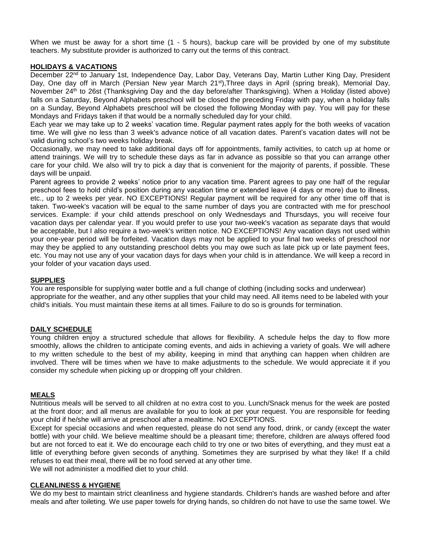When we must be away for a short time (1 - 5 hours), backup care will be provided by one of my substitute teachers. My substitute provider is authorized to carry out the terms of this contract.

## **HOLIDAYS & VACATIONS**

December 22<sup>nd</sup> to January 1st, Independence Day, Labor Day, Veterans Day, Martin Luther King Day, President Day, One day off in March (Persian New year March 21<sup>st</sup>), Three days in April (spring break), Memorial Day, November 24<sup>th</sup> to 26st (Thanksgiving Day and the day before/after Thanksgiving). When a Holiday (listed above) falls on a Saturday, Beyond Alphabets preschool will be closed the preceding Friday with pay, when a holiday falls on a Sunday, Beyond Alphabets preschool will be closed the following Monday with pay. You will pay for these Mondays and Fridays taken if that would be a normally scheduled day for your child.

Each year we may take up to 2 weeks' vacation time. Regular payment rates apply for the both weeks of vacation time. We will give no less than 3 week's advance notice of all vacation dates. Parent's vacation dates will not be valid during school's two weeks holiday break.

Occasionally, we may need to take additional days off for appointments, family activities, to catch up at home or attend trainings. We will try to schedule these days as far in advance as possible so that you can arrange other care for your child. We also will try to pick a day that is convenient for the majority of parents, if possible. These days will be unpaid.

Parent agrees to provide 2 weeks' notice prior to any vacation time. Parent agrees to pay one half of the regular preschool fees to hold child's position during any vacation time or extended leave (4 days or more) due to illness, etc., up to 2 weeks per year. NO EXCEPTIONS! Regular payment will be required for any other time off that is taken. Two-week's vacation will be equal to the same number of days you are contracted with me for preschool services. Example: if your child attends preschool on only Wednesdays and Thursdays, you will receive four vacation days per calendar year. If you would prefer to use your two-week's vacation as separate days that would be acceptable, but I also require a two-week's written notice. NO EXCEPTIONS! Any vacation days not used within your one-year period will be forfeited. Vacation days may not be applied to your final two weeks of preschool nor may they be applied to any outstanding preschool debts you may owe such as late pick up or late payment fees, etc. You may not use any of your vacation days for days when your child is in attendance. We will keep a record in your folder of your vacation days used.

#### **SUPPLIES**

You are responsible for supplying water bottle and a full change of clothing (including socks and underwear) appropriate for the weather, and any other supplies that your child may need. All items need to be labeled with your child's initials. You must maintain these items at all times. Failure to do so is grounds for termination.

#### **DAILY SCHEDULE**

Young children enjoy a structured schedule that allows for flexibility. A schedule helps the day to flow more smoothly, allows the children to anticipate coming events, and aids in achieving a variety of goals. We will adhere to my written schedule to the best of my ability, keeping in mind that anything can happen when children are involved. There will be times when we have to make adjustments to the schedule. We would appreciate it if you consider my schedule when picking up or dropping off your children.

## **MEALS**

Nutritious meals will be served to all children at no extra cost to you. Lunch/Snack menus for the week are posted at the front door; and all menus are available for you to look at per your request. You are responsible for feeding your child if he/she will arrive at preschool after a mealtime. NO EXCEPTIONS.

Except for special occasions and when requested, please do not send any food, drink, or candy (except the water bottle) with your child. We believe mealtime should be a pleasant time; therefore, children are always offered food but are not forced to eat it. We do encourage each child to try one or two bites of everything, and they must eat a little of everything before given seconds of anything. Sometimes they are surprised by what they like! If a child refuses to eat their meal, there will be no food served at any other time.

We will not administer a modified diet to your child.

#### **CLEANLINESS & HYGIENE**

We do my best to maintain strict cleanliness and hygiene standards. Children's hands are washed before and after meals and after toileting. We use paper towels for drying hands, so children do not have to use the same towel. We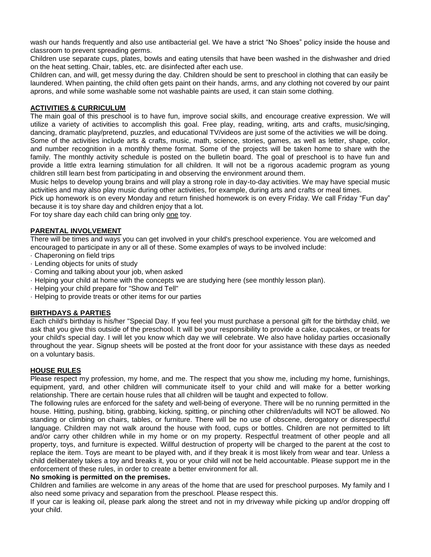wash our hands frequently and also use antibacterial gel. We have a strict "No Shoes" policy inside the house and classroom to prevent spreading germs.

Children use separate cups, plates, bowls and eating utensils that have been washed in the dishwasher and dried on the heat setting. Chair, tables, etc. are disinfected after each use.

Children can, and will, get messy during the day. Children should be sent to preschool in clothing that can easily be laundered. When painting, the child often gets paint on their hands, arms, and any clothing not covered by our paint aprons, and while some washable some not washable paints are used, it can stain some clothing.

# **ACTIVITIES & CURRICULUM**

The main goal of this preschool is to have fun, improve social skills, and encourage creative expression. We will utilize a variety of activities to accomplish this goal. Free play, reading, writing, arts and crafts, music/singing, dancing, dramatic play/pretend, puzzles, and educational TV/videos are just some of the activities we will be doing. Some of the activities include arts & crafts, music, math, science, stories, games, as well as letter, shape, color, and number recognition in a monthly theme format. Some of the projects will be taken home to share with the family. The monthly activity schedule is posted on the bulletin board. The goal of preschool is to have fun and provide a little extra learning stimulation for all children. It will not be a rigorous academic program as young children still learn best from participating in and observing the environment around them.

Music helps to develop young brains and will play a strong role in day-to-day activities. We may have special music activities and may also play music during other activities, for example, during arts and crafts or meal times.

Pick up homework is on every Monday and return finished homework is on every Friday. We call Friday "Fun day" because it is toy share day and children enjoy that a lot.

For toy share day each child can bring only one toy.

#### **PARENTAL INVOLVEMENT**

There will be times and ways you can get involved in your child's preschool experience. You are welcomed and encouraged to participate in any or all of these. Some examples of ways to be involved include:

- · Chaperoning on field trips
- · Lending objects for units of study
- · Coming and talking about your job, when asked
- · Helping your child at home with the concepts we are studying here (see monthly lesson plan).
- · Helping your child prepare for "Show and Tell"
- · Helping to provide treats or other items for our parties

## **BIRTHDAYS & PARTIES**

Each child's birthday is his/her "Special Day. If you feel you must purchase a personal gift for the birthday child, we ask that you give this outside of the preschool. It will be your responsibility to provide a cake, cupcakes, or treats for your child's special day. I will let you know which day we will celebrate. We also have holiday parties occasionally throughout the year. Signup sheets will be posted at the front door for your assistance with these days as needed on a voluntary basis.

## **HOUSE RULES**

Please respect my profession, my home, and me. The respect that you show me, including my home, furnishings, equipment, yard, and other children will communicate itself to your child and will make for a better working relationship. There are certain house rules that all children will be taught and expected to follow.

The following rules are enforced for the safety and well-being of everyone. There will be no running permitted in the house. Hitting, pushing, biting, grabbing, kicking, spitting, or pinching other children/adults will NOT be allowed. No standing or climbing on chairs, tables, or furniture. There will be no use of obscene, derogatory or disrespectful language. Children may not walk around the house with food, cups or bottles. Children are not permitted to lift and/or carry other children while in my home or on my property. Respectful treatment of other people and all property, toys, and furniture is expected. Willful destruction of property will be charged to the parent at the cost to replace the item. Toys are meant to be played with, and if they break it is most likely from wear and tear. Unless a child deliberately takes a toy and breaks it, you or your child will not be held accountable. Please support me in the enforcement of these rules, in order to create a better environment for all.

#### **No smoking is permitted on the premises.**

Children and families are welcome in any areas of the home that are used for preschool purposes. My family and I also need some privacy and separation from the preschool. Please respect this.

If your car is leaking oil, please park along the street and not in my driveway while picking up and/or dropping off your child.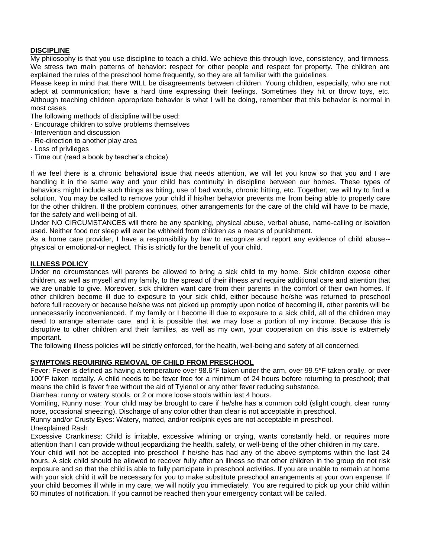# **DISCIPLINE**

My philosophy is that you use discipline to teach a child. We achieve this through love, consistency, and firmness. We stress two main patterns of behavior: respect for other people and respect for property. The children are explained the rules of the preschool home frequently, so they are all familiar with the guidelines.

Please keep in mind that there WILL be disagreements between children. Young children, especially, who are not adept at communication; have a hard time expressing their feelings. Sometimes they hit or throw toys, etc. Although teaching children appropriate behavior is what I will be doing, remember that this behavior is normal in most cases.

The following methods of discipline will be used:

- · Encourage children to solve problems themselves
- · Intervention and discussion
- · Re-direction to another play area
- · Loss of privileges
- · Time out (read a book by teacher's choice)

If we feel there is a chronic behavioral issue that needs attention, we will let you know so that you and I are handling it in the same way and your child has continuity in discipline between our homes. These types of behaviors might include such things as biting, use of bad words, chronic hitting, etc. Together, we will try to find a solution. You may be called to remove your child if his/her behavior prevents me from being able to properly care for the other children. If the problem continues, other arrangements for the care of the child will have to be made, for the safety and well-being of all.

Under NO CIRCUMSTANCES will there be any spanking, physical abuse, verbal abuse, name-calling or isolation used. Neither food nor sleep will ever be withheld from children as a means of punishment.

As a home care provider, I have a responsibility by law to recognize and report any evidence of child abuse- physical or emotional-or neglect. This is strictly for the benefit of your child.

## **ILLNESS POLICY**

Under no circumstances will parents be allowed to bring a sick child to my home. Sick children expose other children, as well as myself and my family, to the spread of their illness and require additional care and attention that we are unable to give. Moreover, sick children want care from their parents in the comfort of their own homes. If other children become ill due to exposure to your sick child, either because he/she was returned to preschool before full recovery or because he/she was not picked up promptly upon notice of becoming ill, other parents will be unnecessarily inconvenienced. If my family or I become ill due to exposure to a sick child, all of the children may need to arrange alternate care, and it is possible that we may lose a portion of my income. Because this is disruptive to other children and their families, as well as my own, your cooperation on this issue is extremely important.

The following illness policies will be strictly enforced, for the health, well-being and safety of all concerned.

## **SYMPTOMS REQUIRING REMOVAL OF CHILD FROM PRESCHOOL**

Fever: Fever is defined as having a temperature over 98.6°F taken under the arm, over 99.5°F taken orally, or over 100°F taken rectally. A child needs to be fever free for a minimum of 24 hours before returning to preschool; that means the child is fever free without the aid of Tylenol or any other fever reducing substance.

Diarrhea: runny or watery stools, or 2 or more loose stools within last 4 hours.

Vomiting, Runny nose: Your child may be brought to care if he/she has a common cold (slight cough, clear runny nose, occasional sneezing). Discharge of any color other than clear is not acceptable in preschool.

Runny and/or Crusty Eyes: Watery, matted, and/or red/pink eyes are not acceptable in preschool.

# Unexplained Rash

Excessive Crankiness: Child is irritable, excessive whining or crying, wants constantly held, or requires more attention than I can provide without jeopardizing the health, safety, or well-being of the other children in my care.

Your child will not be accepted into preschool if he/she has had any of the above symptoms within the last 24 hours. A sick child should be allowed to recover fully after an illness so that other children in the group do not risk exposure and so that the child is able to fully participate in preschool activities. If you are unable to remain at home with your sick child it will be necessary for you to make substitute preschool arrangements at your own expense. If your child becomes ill while in my care, we will notify you immediately. You are required to pick up your child within 60 minutes of notification. If you cannot be reached then your emergency contact will be called.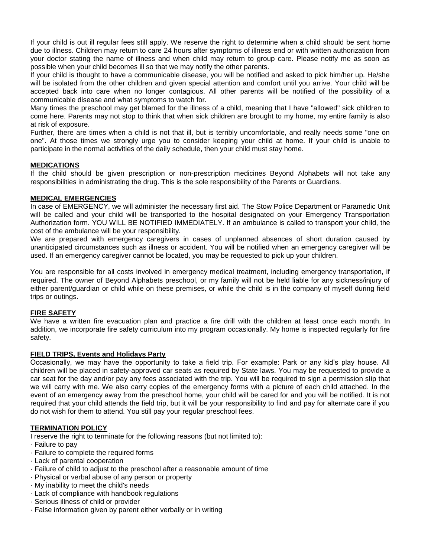If your child is out ill regular fees still apply. We reserve the right to determine when a child should be sent home due to illness. Children may return to care 24 hours after symptoms of illness end or with written authorization from your doctor stating the name of illness and when child may return to group care. Please notify me as soon as possible when your child becomes ill so that we may notify the other parents.

If your child is thought to have a communicable disease, you will be notified and asked to pick him/her up. He/she will be isolated from the other children and given special attention and comfort until you arrive. Your child will be accepted back into care when no longer contagious. All other parents will be notified of the possibility of a communicable disease and what symptoms to watch for.

Many times the preschool may get blamed for the illness of a child, meaning that I have "allowed" sick children to come here. Parents may not stop to think that when sick children are brought to my home, my entire family is also at risk of exposure.

Further, there are times when a child is not that ill, but is terribly uncomfortable, and really needs some "one on one". At those times we strongly urge you to consider keeping your child at home. If your child is unable to participate in the normal activities of the daily schedule, then your child must stay home.

# **MEDICATIONS**

If the child should be given prescription or non-prescription medicines Beyond Alphabets will not take any responsibilities in administrating the drug. This is the sole responsibility of the Parents or Guardians.

# **MEDICAL EMERGENCIES**

In case of EMERGENCY, we will administer the necessary first aid. The Stow Police Department or Paramedic Unit will be called and your child will be transported to the hospital designated on your Emergency Transportation Authorization form. YOU WILL BE NOTIFIED IMMEDIATELY. If an ambulance is called to transport your child, the cost of the ambulance will be your responsibility.

We are prepared with emergency caregivers in cases of unplanned absences of short duration caused by unanticipated circumstances such as illness or accident. You will be notified when an emergency caregiver will be used. If an emergency caregiver cannot be located, you may be requested to pick up your children.

You are responsible for all costs involved in emergency medical treatment, including emergency transportation, if required. The owner of Beyond Alphabets preschool, or my family will not be held liable for any sickness/injury of either parent/guardian or child while on these premises, or while the child is in the company of myself during field trips or outings.

# **FIRE SAFETY**

We have a written fire evacuation plan and practice a fire drill with the children at least once each month. In addition, we incorporate fire safety curriculum into my program occasionally. My home is inspected regularly for fire safety.

## **FIELD TRIPS, Events and Holidays Party**

Occasionally, we may have the opportunity to take a field trip. For example: Park or any kid's play house. All children will be placed in safety-approved car seats as required by State laws. You may be requested to provide a car seat for the day and/or pay any fees associated with the trip. You will be required to sign a permission slip that we will carry with me. We also carry copies of the emergency forms with a picture of each child attached. In the event of an emergency away from the preschool home, your child will be cared for and you will be notified. It is not required that your child attends the field trip, but it will be your responsibility to find and pay for alternate care if you do not wish for them to attend. You still pay your regular preschool fees.

## **TERMINATION POLICY**

I reserve the right to terminate for the following reasons (but not limited to):

- · Failure to pay
- · Failure to complete the required forms
- · Lack of parental cooperation
- · Failure of child to adjust to the preschool after a reasonable amount of time
- · Physical or verbal abuse of any person or property
- · My inability to meet the child's needs
- · Lack of compliance with handbook regulations
- · Serious illness of child or provider
- · False information given by parent either verbally or in writing